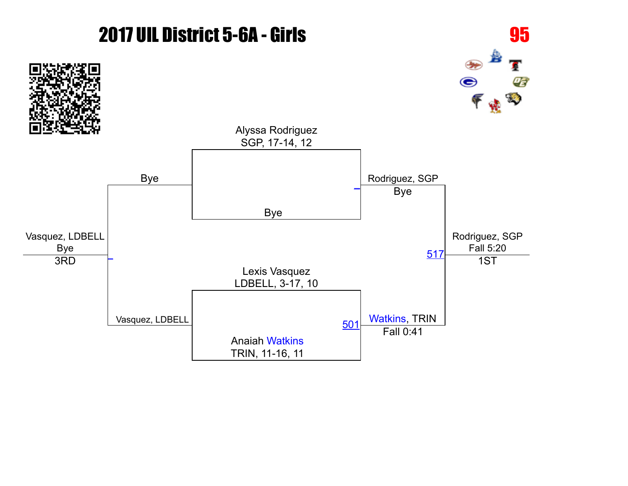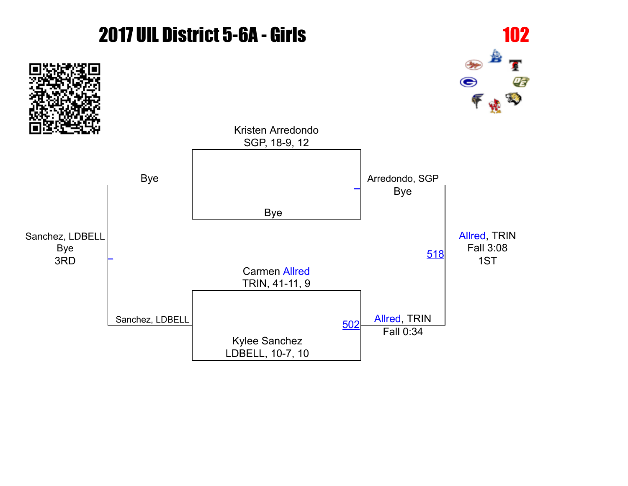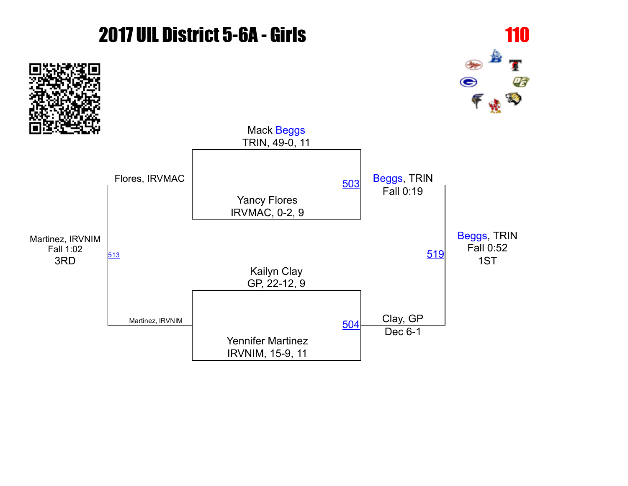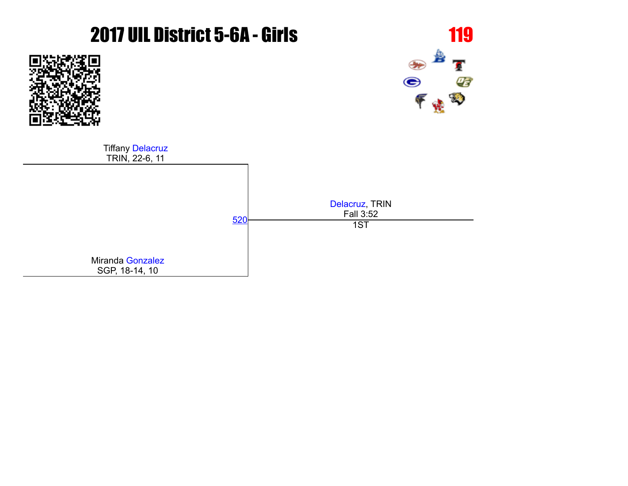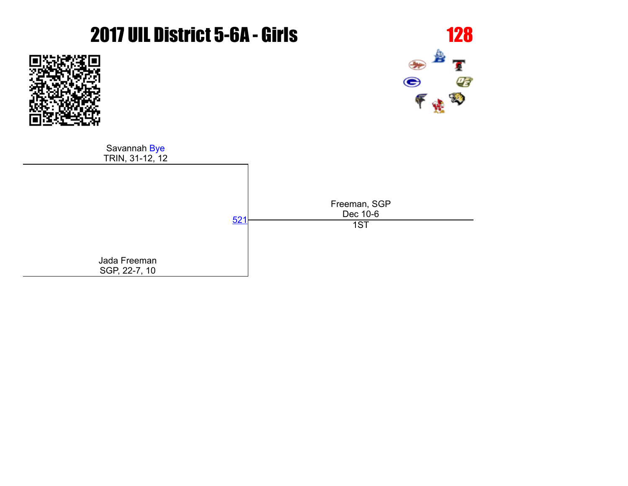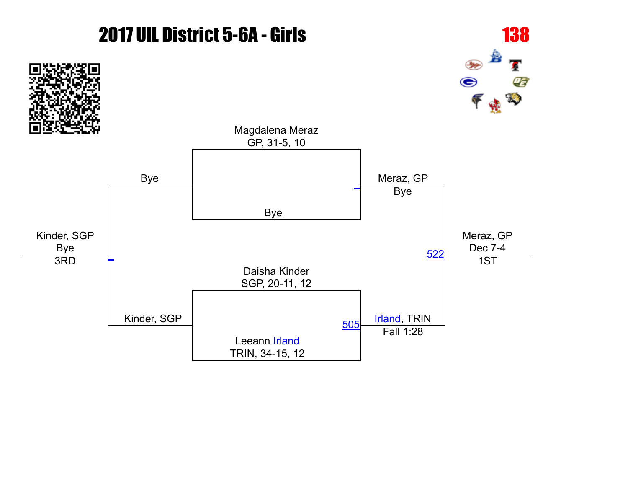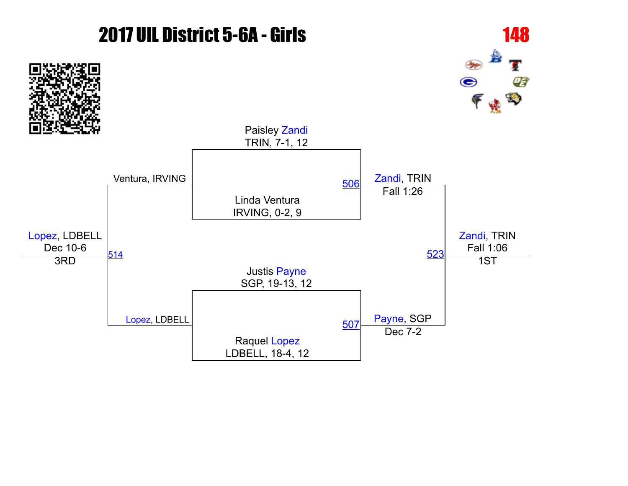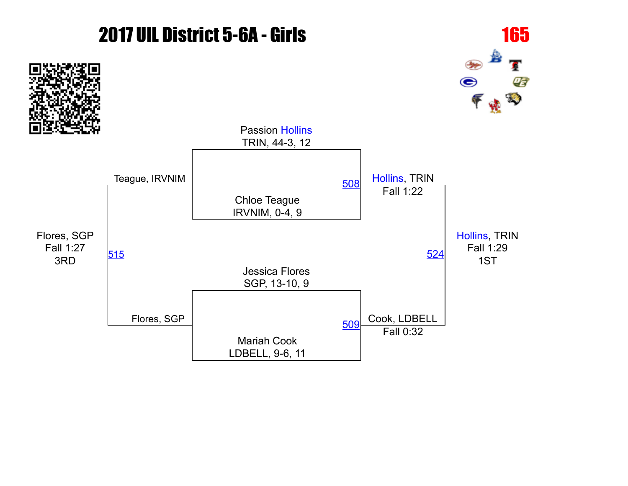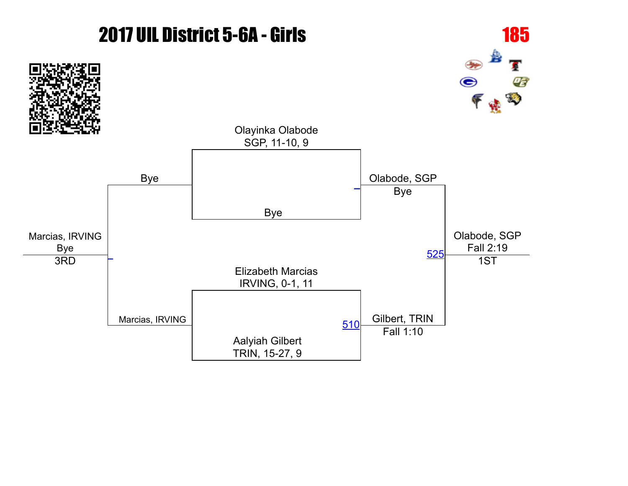